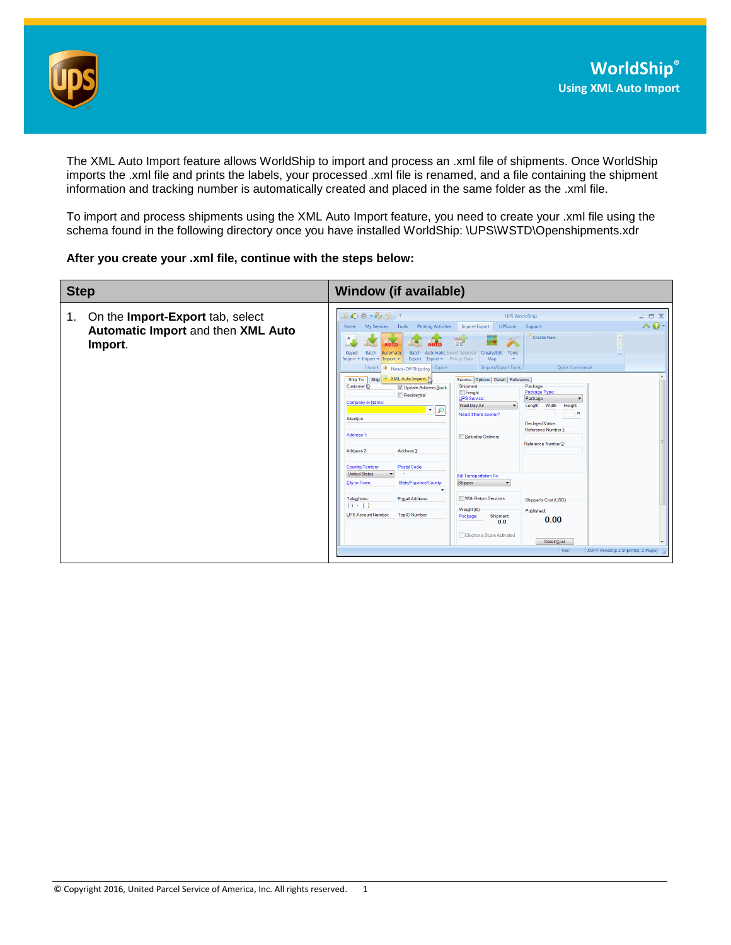

The XML Auto Import feature allows WorldShip to import and process an .xml file of shipments. Once WorldShip imports the .xml file and prints the labels, your processed .xml file is renamed, and a file containing the shipment information and tracking number is automatically created and placed in the same folder as the .xml file.

To import and process shipments using the XML Auto Import feature, you need to create your .xml file using the schema found in the following directory once you have installed WorldShip: \UPS\WSTD\Openshipments.xdr

## **After you create your .xml file, continue with the steps below:**

| <b>Step</b>                                                                             | <b>Window (if available)</b>                                                                                                                                                                                                                                                                                                                                                                                                                                                                                                                                                                                                                                                                                                                                                                                                                                                                     |
|-----------------------------------------------------------------------------------------|--------------------------------------------------------------------------------------------------------------------------------------------------------------------------------------------------------------------------------------------------------------------------------------------------------------------------------------------------------------------------------------------------------------------------------------------------------------------------------------------------------------------------------------------------------------------------------------------------------------------------------------------------------------------------------------------------------------------------------------------------------------------------------------------------------------------------------------------------------------------------------------------------|
| On the Import-Export tab, select<br>1.<br>Automatic Import and then XML Auto<br>Import. | Ⅱ◎卷 • ☆ 雪) •<br>$ \Box$ $X$<br><b>UPS WorldShip</b><br>$\land$ 0<br><b>Printing Activities</b><br>Import-Export<br>UPS.com<br>Support<br>My Services<br>Tools<br>Home<br><b>Create New</b><br><b>AUTO</b><br><b>Batch</b><br>Automatic<br>Batch<br><b>Automatic Export Selected</b><br>Create/Edit<br>Tools<br>Keved<br>Import = Import =<br>Export Fickup Date<br>Map<br>Import $\blacktriangledown$<br>Export<br>Quick Commands<br><b>Import/Export Tools</b><br>Export<br>Import + Hands-Off Shipping<br><b>XML Auto Import</b><br>Service   Options   Detail   Reference<br>Ship To Ship<br>Shipment<br>Customer ID:<br>Package<br>V Update Address Book<br>Package Type:<br>Freight<br>Residential<br><b>UPS</b> Service:<br>Package<br>$\overline{\phantom{a}}$<br>Company or Name:<br>Next Day Air<br>Width:<br>Height<br>Length:<br>₽<br>▾∥<br>in<br>Need it there sooner?<br>Attention: |
|                                                                                         | Declared Value:<br>Reference Number 1:<br>Address <sub>1</sub><br>Saturday Delivery<br>Reference Number 2:<br>Address 2:<br>Address 3:<br>Postal Code:<br>Country/Territory<br><b>United States</b><br><b>Bill Transportation To:</b><br>Shipper<br>State/Province/County:<br>City or Town:<br>$\checkmark$<br>With Return Services<br>Telephone:<br>E-mail Address:<br>Shipper's Cost (USD)<br>$() - 1$<br>Weight (lb)<br><b>Published:</b><br><b>UPS Account Number:</b><br>Tax ID Number:<br>Shipment<br>Package:<br>0.00<br>0.0<br>Electronic Scale Activated<br>Detail Cost<br>XOFY Pending: 2 Shpmt(s), 2 Pkg(s)<br>Ver:                                                                                                                                                                                                                                                                   |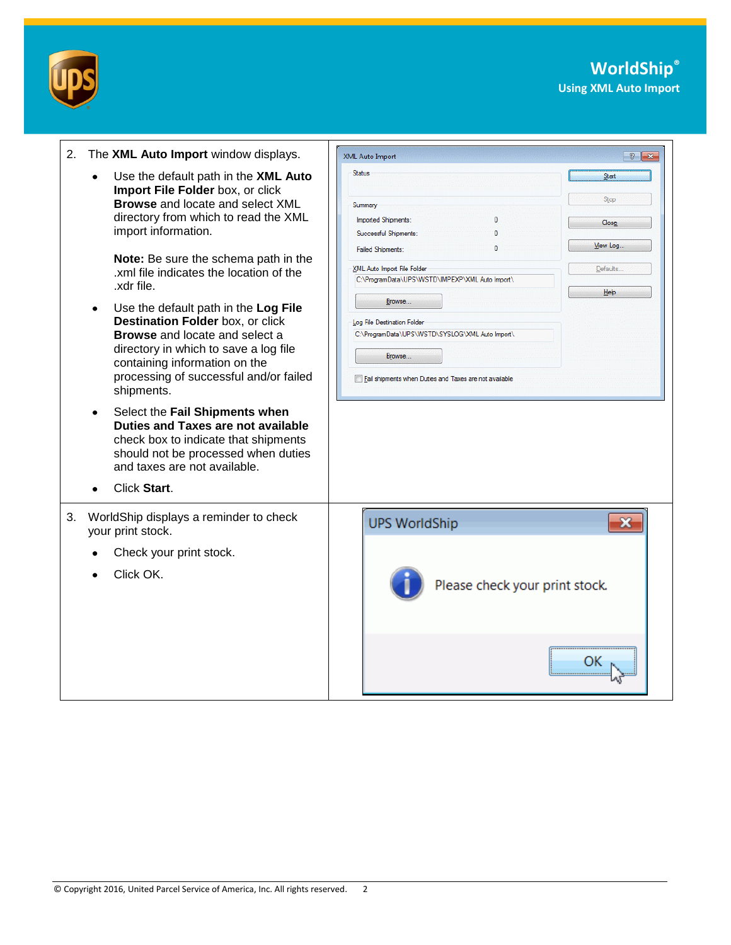

| The XML Auto Import window displays.<br>2.                                                                                                                                                                                                                                                                                                                                                                                                                                                                                                                                                                                                                                                                                                                                      | XML Auto Import<br>$\frac{2}{3}$ $\frac{2}{3}$                                                                                                                                                                                                                                                                                                                                                                                   |
|---------------------------------------------------------------------------------------------------------------------------------------------------------------------------------------------------------------------------------------------------------------------------------------------------------------------------------------------------------------------------------------------------------------------------------------------------------------------------------------------------------------------------------------------------------------------------------------------------------------------------------------------------------------------------------------------------------------------------------------------------------------------------------|----------------------------------------------------------------------------------------------------------------------------------------------------------------------------------------------------------------------------------------------------------------------------------------------------------------------------------------------------------------------------------------------------------------------------------|
| Use the default path in the XML Auto<br>$\bullet$<br>Import File Folder box, or click<br><b>Browse</b> and locate and select XML<br>directory from which to read the XML<br>import information.<br>Note: Be sure the schema path in the<br>.xml file indicates the location of the<br>.xdr file.<br>Use the default path in the Log File<br>٠<br>Destination Folder box, or click<br><b>Browse</b> and locate and select a<br>directory in which to save a log file<br>containing information on the<br>processing of successful and/or failed<br>shipments.<br>Select the Fail Shipments when<br>٠<br><b>Duties and Taxes are not available</b><br>check box to indicate that shipments<br>should not be processed when duties<br>and taxes are not available.<br>Click Start. | <b>Status</b><br>Start<br>Stop<br>Summary<br>Imported Shipments:<br>0<br>Close<br>Successful Shipments:<br>n<br>View Log<br>Ō<br><b>Failed Shipments:</b><br>XML Auto Import File Folder<br>Defaults.<br>C:\ProgramData\UPS\WSTD\IMPEXP\XML Auto Import\<br>Help<br>Browse<br>Log File Destination Folder<br>C:\ProgramData\UPS\WSTD\SYSLOG\XML Auto Import\<br>Browse<br>Fail shipments when Duties and Taxes are not available |
| WorldShip displays a reminder to check<br>your print stock.<br>Check your print stock.<br>Click OK.                                                                                                                                                                                                                                                                                                                                                                                                                                                                                                                                                                                                                                                                             | <b>UPS WorldShip</b><br>Please check your print stock.                                                                                                                                                                                                                                                                                                                                                                           |
|                                                                                                                                                                                                                                                                                                                                                                                                                                                                                                                                                                                                                                                                                                                                                                                 |                                                                                                                                                                                                                                                                                                                                                                                                                                  |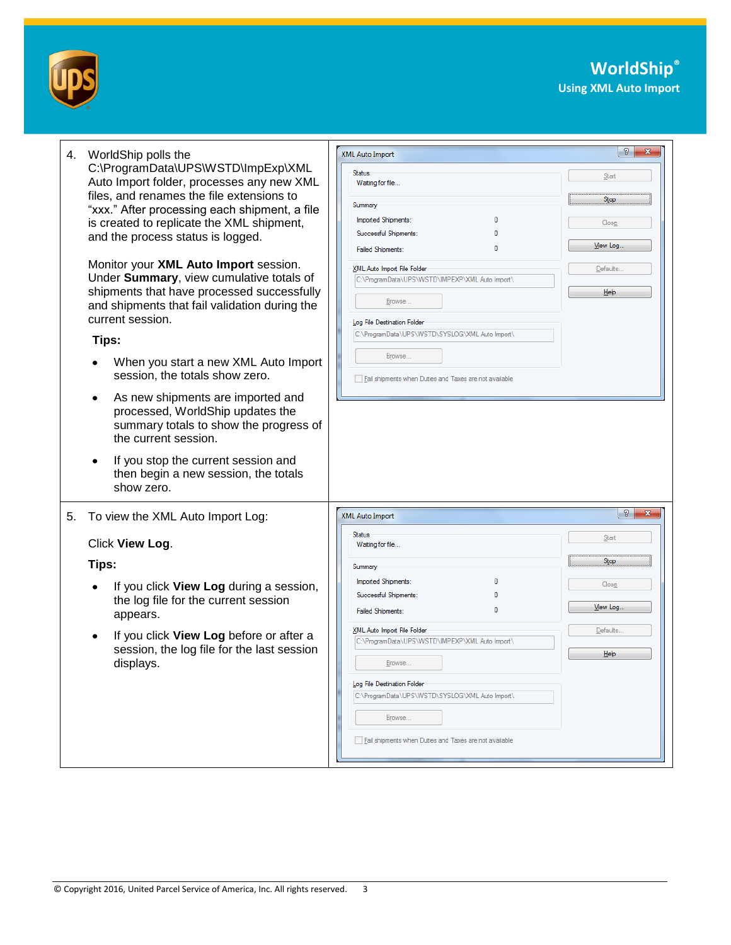



| 4. WorldShip polls the<br>C:\ProgramData\UPS\WSTD\ImpExp\XML<br>Auto Import folder, processes any new XML<br>files, and renames the file extensions to<br>"xxx." After processing each shipment, a file<br>is created to replicate the XML shipment,<br>and the process status is logged.<br>Monitor your XML Auto Import session.<br>Under Summary, view cumulative totals of<br>shipments that have processed successfully<br>and shipments that fail validation during the<br>current session.<br>Tips:<br>When you start a new XML Auto Import<br>session, the totals show zero.<br>As new shipments are imported and<br>processed, WorldShip updates the<br>summary totals to show the progress of<br>the current session.<br>If you stop the current session and<br>then begin a new session, the totals<br>show zero. | <b>XML Auto Import</b><br><b>Status</b><br>Waiting for file<br>Summary<br>Imported Shipments:<br>n<br>Successful Shipments:<br><b>Failed Shipments:</b><br>XML Auto Import File Folder<br>C:\ProgramData\UPS\WSTD\IMPEXP\XML Auto Import\<br>Browse<br>Log File Destination Folder<br>C:\ProgramData\UPS\WSTD\SYSLOG\XML Auto Import\<br>Browse<br>Fail shipments when Duties and Taxes are not available | $\mathcal{P}$<br>$\mathbf{x}$<br>Start<br>Stop<br>Close<br>View Log<br>Defaults<br>He |
|------------------------------------------------------------------------------------------------------------------------------------------------------------------------------------------------------------------------------------------------------------------------------------------------------------------------------------------------------------------------------------------------------------------------------------------------------------------------------------------------------------------------------------------------------------------------------------------------------------------------------------------------------------------------------------------------------------------------------------------------------------------------------------------------------------------------------|-----------------------------------------------------------------------------------------------------------------------------------------------------------------------------------------------------------------------------------------------------------------------------------------------------------------------------------------------------------------------------------------------------------|---------------------------------------------------------------------------------------|
| 5.<br>To view the XML Auto Import Log:                                                                                                                                                                                                                                                                                                                                                                                                                                                                                                                                                                                                                                                                                                                                                                                       | <b>XML Auto Import</b>                                                                                                                                                                                                                                                                                                                                                                                    | $\theta$ $\mathbf{x}$                                                                 |
|                                                                                                                                                                                                                                                                                                                                                                                                                                                                                                                                                                                                                                                                                                                                                                                                                              | Status                                                                                                                                                                                                                                                                                                                                                                                                    | Start                                                                                 |
| Click View Log.                                                                                                                                                                                                                                                                                                                                                                                                                                                                                                                                                                                                                                                                                                                                                                                                              | Waiting for file                                                                                                                                                                                                                                                                                                                                                                                          |                                                                                       |
| Tips:                                                                                                                                                                                                                                                                                                                                                                                                                                                                                                                                                                                                                                                                                                                                                                                                                        | Summary                                                                                                                                                                                                                                                                                                                                                                                                   | Stop                                                                                  |
| If you click View Log during a session,<br>the log file for the current session<br>appears.                                                                                                                                                                                                                                                                                                                                                                                                                                                                                                                                                                                                                                                                                                                                  | Imported Shipments:<br>Successful Shipments:<br>$\mathbf{0}$<br><b>Failed Shipments:</b>                                                                                                                                                                                                                                                                                                                  | Close<br>View Log                                                                     |
| If you click View Log before or after a<br>session, the log file for the last session<br>displays.                                                                                                                                                                                                                                                                                                                                                                                                                                                                                                                                                                                                                                                                                                                           | XML Auto Import File Folder<br>C:\ProgramData\UPS\WSTD\IMPEXP\XML Auto Import\<br>Browse<br>Log File Destination Folder<br>C:\ProgramData\UPS\WSTD\SYSLOG\XML Auto Import\<br>Browse<br>Fail shipments when Duties and Taxes are not available                                                                                                                                                            | Defaults.<br>He                                                                       |